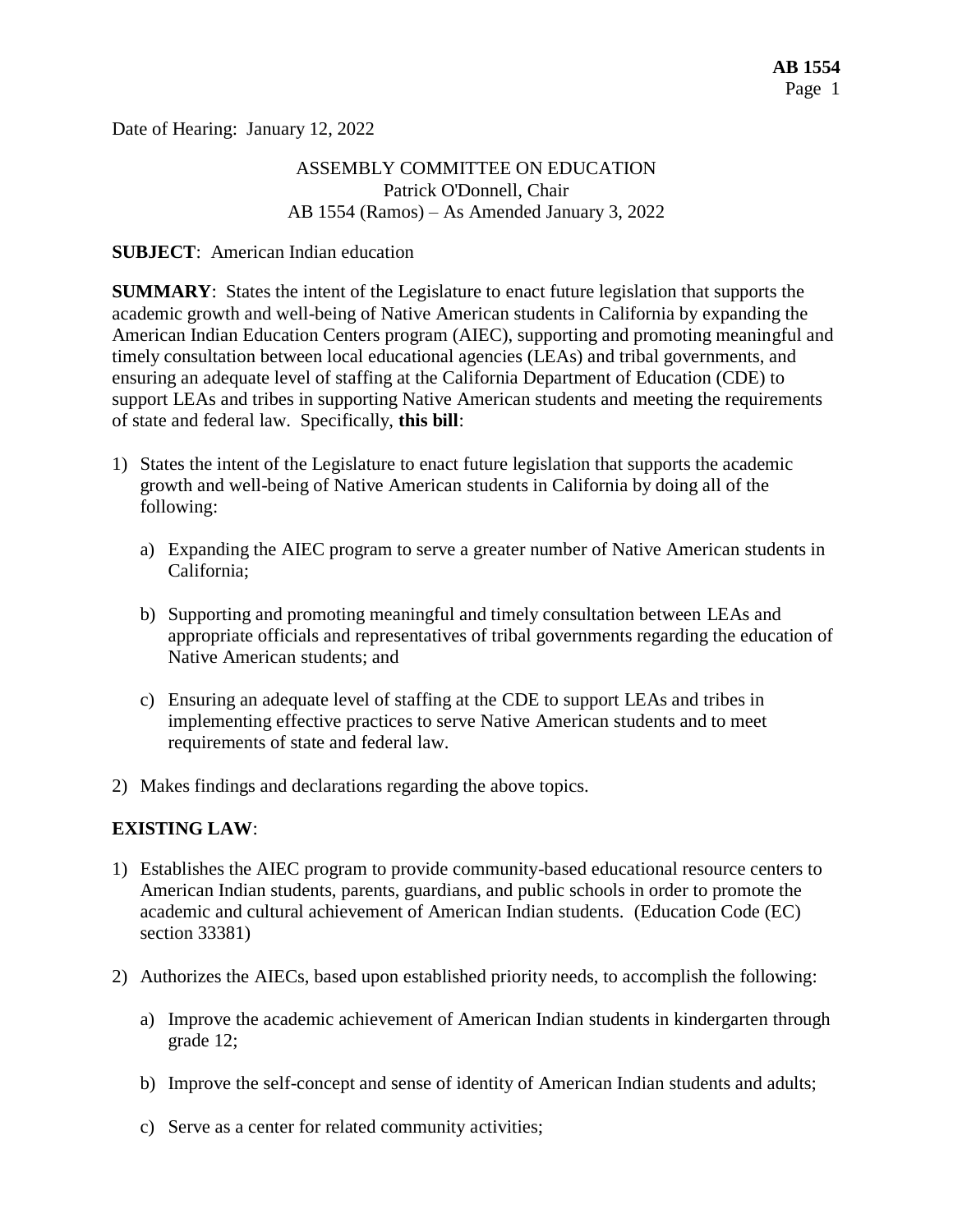Date of Hearing: January 12, 2022

# ASSEMBLY COMMITTEE ON EDUCATION Patrick O'Donnell, Chair AB 1554 (Ramos) – As Amended January 3, 2022

### **SUBJECT**: American Indian education

**SUMMARY**: States the intent of the Legislature to enact future legislation that supports the academic growth and well-being of Native American students in California by expanding the American Indian Education Centers program (AIEC), supporting and promoting meaningful and timely consultation between local educational agencies (LEAs) and tribal governments, and ensuring an adequate level of staffing at the California Department of Education (CDE) to support LEAs and tribes in supporting Native American students and meeting the requirements of state and federal law. Specifically, **this bill**:

- 1) States the intent of the Legislature to enact future legislation that supports the academic growth and well-being of Native American students in California by doing all of the following:
	- a) Expanding the AIEC program to serve a greater number of Native American students in California;
	- b) Supporting and promoting meaningful and timely consultation between LEAs and appropriate officials and representatives of tribal governments regarding the education of Native American students; and
	- c) Ensuring an adequate level of staffing at the CDE to support LEAs and tribes in implementing effective practices to serve Native American students and to meet requirements of state and federal law.
- 2) Makes findings and declarations regarding the above topics.

### **EXISTING LAW**:

- 1) Establishes the AIEC program to provide community-based educational resource centers to American Indian students, parents, guardians, and public schools in order to promote the academic and cultural achievement of American Indian students. (Education Code (EC) section 33381)
- 2) Authorizes the AIECs, based upon established priority needs, to accomplish the following:
	- a) Improve the academic achievement of American Indian students in kindergarten through grade 12;
	- b) Improve the self-concept and sense of identity of American Indian students and adults;
	- c) Serve as a center for related community activities;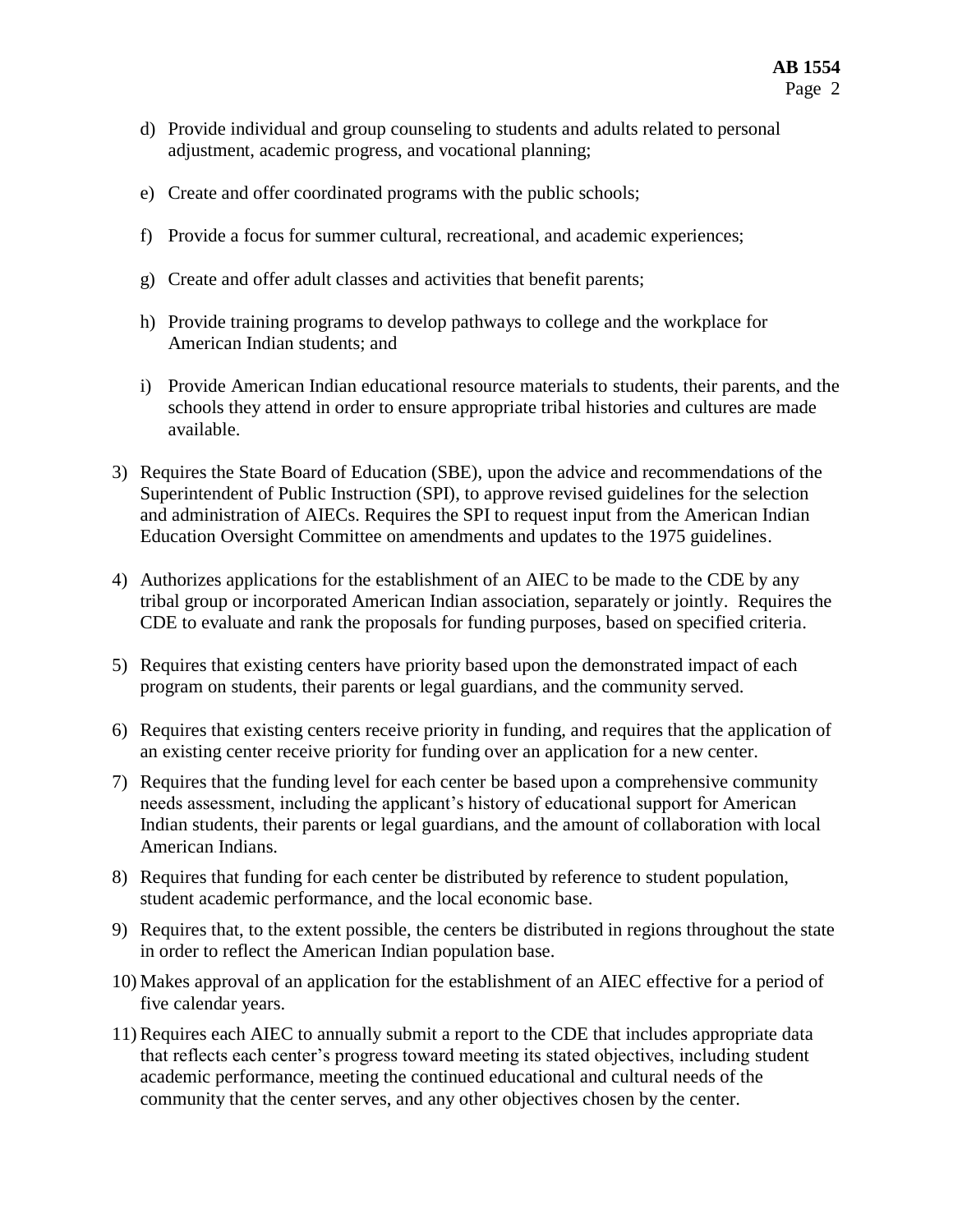- d) Provide individual and group counseling to students and adults related to personal adjustment, academic progress, and vocational planning;
- e) Create and offer coordinated programs with the public schools;
- f) Provide a focus for summer cultural, recreational, and academic experiences;
- g) Create and offer adult classes and activities that benefit parents;
- h) Provide training programs to develop pathways to college and the workplace for American Indian students; and
- i) Provide American Indian educational resource materials to students, their parents, and the schools they attend in order to ensure appropriate tribal histories and cultures are made available.
- 3) Requires the State Board of Education (SBE), upon the advice and recommendations of the Superintendent of Public Instruction (SPI), to approve revised guidelines for the selection and administration of AIECs. Requires the SPI to request input from the American Indian Education Oversight Committee on amendments and updates to the 1975 guidelines.
- 4) Authorizes applications for the establishment of an AIEC to be made to the CDE by any tribal group or incorporated American Indian association, separately or jointly. Requires the CDE to evaluate and rank the proposals for funding purposes, based on specified criteria.
- 5) Requires that existing centers have priority based upon the demonstrated impact of each program on students, their parents or legal guardians, and the community served.
- 6) Requires that existing centers receive priority in funding, and requires that the application of an existing center receive priority for funding over an application for a new center.
- 7) Requires that the funding level for each center be based upon a comprehensive community needs assessment, including the applicant's history of educational support for American Indian students, their parents or legal guardians, and the amount of collaboration with local American Indians.
- 8) Requires that funding for each center be distributed by reference to student population, student academic performance, and the local economic base.
- 9) Requires that, to the extent possible, the centers be distributed in regions throughout the state in order to reflect the American Indian population base.
- 10) Makes approval of an application for the establishment of an AIEC effective for a period of five calendar years.
- 11) Requires each AIEC to annually submit a report to the CDE that includes appropriate data that reflects each center's progress toward meeting its stated objectives, including student academic performance, meeting the continued educational and cultural needs of the community that the center serves, and any other objectives chosen by the center.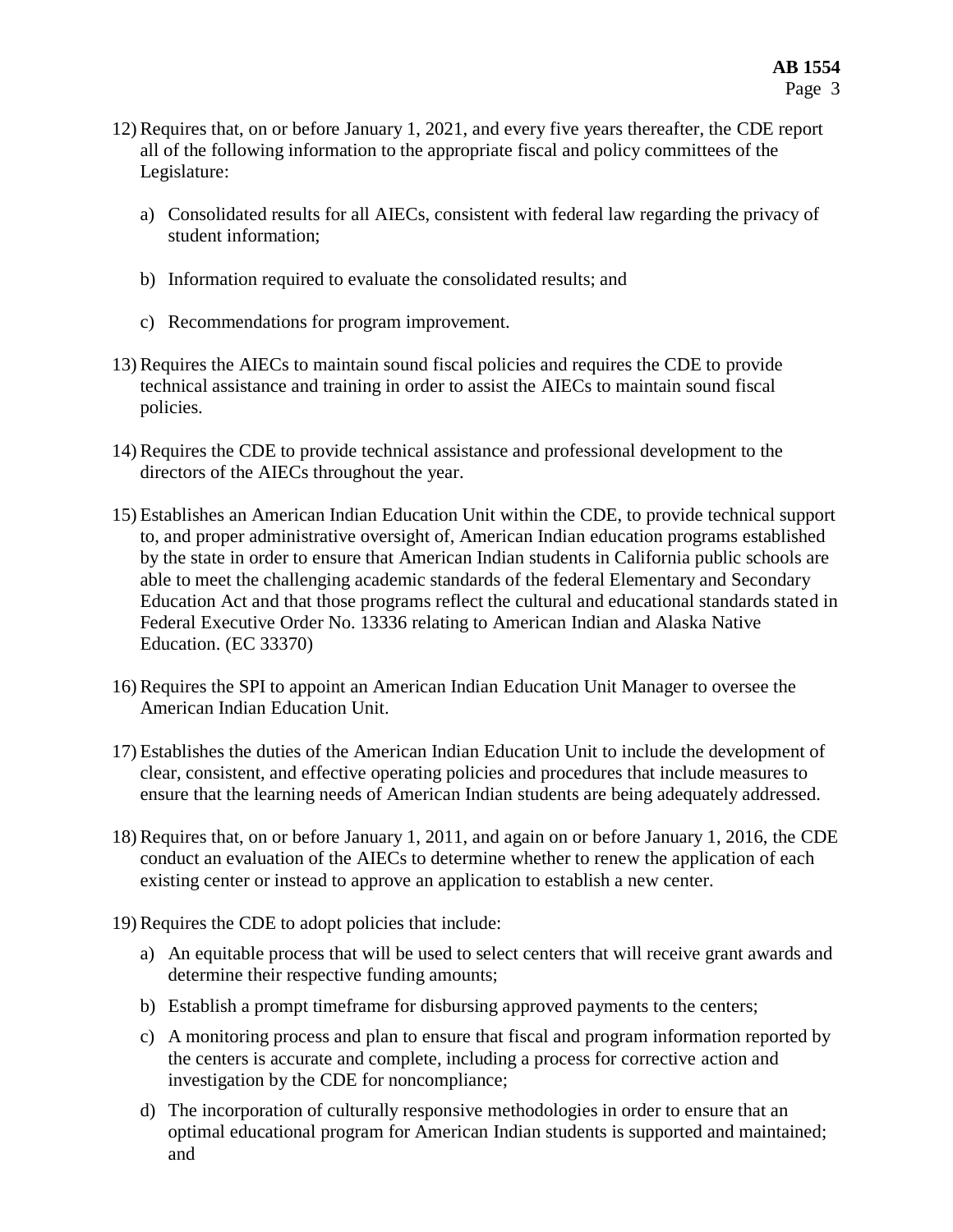- 12) Requires that, on or before January 1, 2021, and every five years thereafter, the CDE report all of the following information to the appropriate fiscal and policy committees of the Legislature:
	- a) Consolidated results for all AIECs, consistent with federal law regarding the privacy of student information;
	- b) Information required to evaluate the consolidated results; and
	- c) Recommendations for program improvement.
- 13) Requires the AIECs to maintain sound fiscal policies and requires the CDE to provide technical assistance and training in order to assist the AIECs to maintain sound fiscal policies.
- 14) Requires the CDE to provide technical assistance and professional development to the directors of the AIECs throughout the year.
- 15) Establishes an American Indian Education Unit within the CDE, to provide technical support to, and proper administrative oversight of, American Indian education programs established by the state in order to ensure that American Indian students in California public schools are able to meet the challenging academic standards of the federal Elementary and Secondary Education Act and that those programs reflect the cultural and educational standards stated in Federal Executive Order No. 13336 relating to American Indian and Alaska Native Education. (EC 33370)
- 16) Requires the SPI to appoint an American Indian Education Unit Manager to oversee the American Indian Education Unit.
- 17) Establishes the duties of the American Indian Education Unit to include the development of clear, consistent, and effective operating policies and procedures that include measures to ensure that the learning needs of American Indian students are being adequately addressed.
- 18) Requires that, on or before January 1, 2011, and again on or before January 1, 2016, the CDE conduct an evaluation of the AIECs to determine whether to renew the application of each existing center or instead to approve an application to establish a new center.
- 19) Requires the CDE to adopt policies that include:
	- a) An equitable process that will be used to select centers that will receive grant awards and determine their respective funding amounts;
	- b) Establish a prompt timeframe for disbursing approved payments to the centers;
	- c) A monitoring process and plan to ensure that fiscal and program information reported by the centers is accurate and complete, including a process for corrective action and investigation by the CDE for noncompliance;
	- d) The incorporation of culturally responsive methodologies in order to ensure that an optimal educational program for American Indian students is supported and maintained; and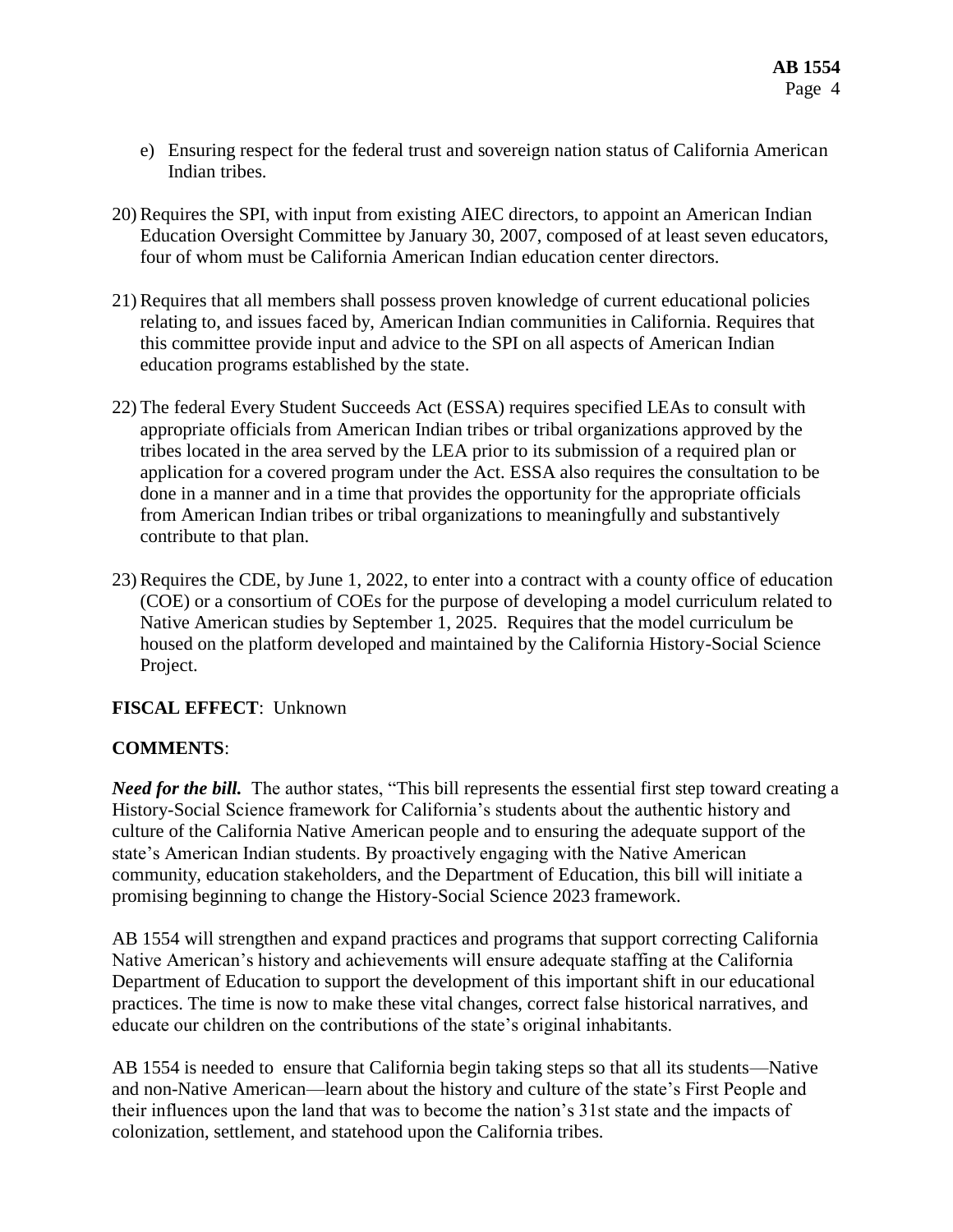- e) Ensuring respect for the federal trust and sovereign nation status of California American Indian tribes.
- 20) Requires the SPI, with input from existing AIEC directors, to appoint an American Indian Education Oversight Committee by January 30, 2007, composed of at least seven educators, four of whom must be California American Indian education center directors.
- 21) Requires that all members shall possess proven knowledge of current educational policies relating to, and issues faced by, American Indian communities in California. Requires that this committee provide input and advice to the SPI on all aspects of American Indian education programs established by the state.
- 22) The federal Every Student Succeeds Act (ESSA) requires specified LEAs to consult with appropriate officials from American Indian tribes or tribal organizations approved by the tribes located in the area served by the LEA prior to its submission of a required plan or application for a covered program under the Act. ESSA also requires the consultation to be done in a manner and in a time that provides the opportunity for the appropriate officials from American Indian tribes or tribal organizations to meaningfully and substantively contribute to that plan.
- 23) Requires the CDE, by June 1, 2022, to enter into a contract with a county office of education (COE) or a consortium of COEs for the purpose of developing a model curriculum related to Native American studies by September 1, 2025. Requires that the model curriculum be housed on the platform developed and maintained by the California History-Social Science Project.

# **FISCAL EFFECT**: Unknown

# **COMMENTS**:

*Need for the bill.* The author states, "This bill represents the essential first step toward creating a History-Social Science framework for California's students about the authentic history and culture of the California Native American people and to ensuring the adequate support of the state's American Indian students. By proactively engaging with the Native American community, education stakeholders, and the Department of Education, this bill will initiate a promising beginning to change the History-Social Science 2023 framework.

AB 1554 will strengthen and expand practices and programs that support correcting California Native American's history and achievements will ensure adequate staffing at the California Department of Education to support the development of this important shift in our educational practices. The time is now to make these vital changes, correct false historical narratives, and educate our children on the contributions of the state's original inhabitants.

AB 1554 is needed to ensure that California begin taking steps so that all its students—Native and non-Native American—learn about the history and culture of the state's First People and their influences upon the land that was to become the nation's 31st state and the impacts of colonization, settlement, and statehood upon the California tribes.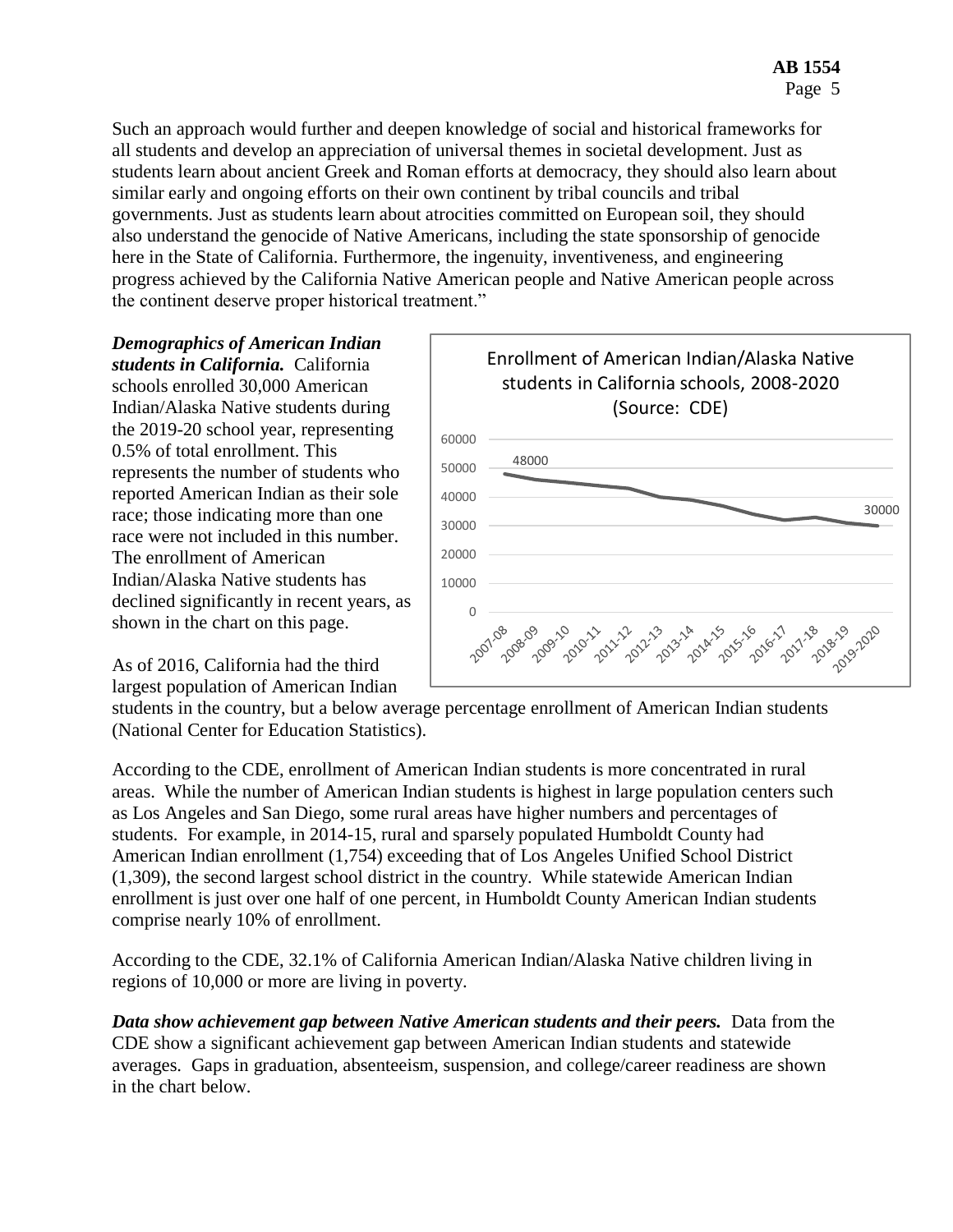Such an approach would further and deepen knowledge of social and historical frameworks for all students and develop an appreciation of universal themes in societal development. Just as students learn about ancient Greek and Roman efforts at democracy, they should also learn about similar early and ongoing efforts on their own continent by tribal councils and tribal governments. Just as students learn about atrocities committed on European soil, they should also understand the genocide of Native Americans, including the state sponsorship of genocide here in the State of California. Furthermore, the ingenuity, inventiveness, and engineering progress achieved by the California Native American people and Native American people across the continent deserve proper historical treatment."

*Demographics of American Indian students in California.* California schools enrolled 30,000 American Indian/Alaska Native students during the 2019-20 school year, representing 0.5% of total enrollment. This represents the number of students who reported American Indian as their sole race; those indicating more than one race were not included in this number. The enrollment of American Indian/Alaska Native students has declined significantly in recent years, as shown in the chart on this page.

As of 2016, California had the third largest population of American Indian



students in the country, but a below average percentage enrollment of American Indian students (National Center for Education Statistics).

According to the CDE, enrollment of American Indian students is more concentrated in rural areas. While the number of American Indian students is highest in large population centers such as Los Angeles and San Diego, some rural areas have higher numbers and percentages of students. For example, in 2014-15, rural and sparsely populated Humboldt County had American Indian enrollment (1,754) exceeding that of Los Angeles Unified School District (1,309), the second largest school district in the country. While statewide American Indian enrollment is just over one half of one percent, in Humboldt County American Indian students comprise nearly 10% of enrollment.

According to the CDE, 32.1% of California American Indian/Alaska Native children living in regions of 10,000 or more are living in poverty.

*Data show achievement gap between Native American students and their peers.* **Data from the** CDE show a significant achievement gap between American Indian students and statewide averages. Gaps in graduation, absenteeism, suspension, and college/career readiness are shown in the chart below.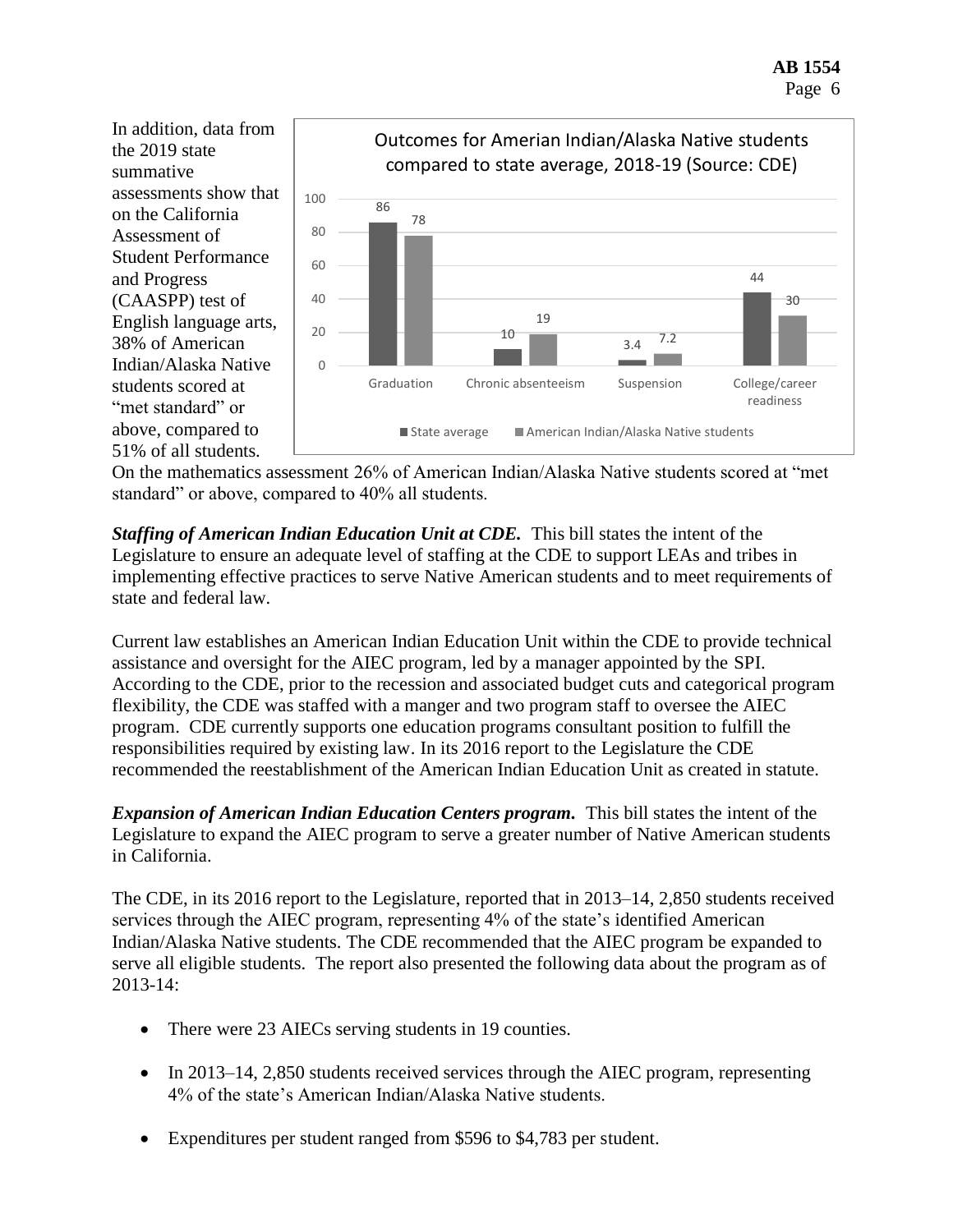

On the mathematics assessment 26% of American Indian/Alaska Native students scored at "met standard" or above, compared to 40% all students.

*Staffing of American Indian Education Unit at CDE.* This bill states the intent of the Legislature to ensure an adequate level of staffing at the CDE to support LEAs and tribes in implementing effective practices to serve Native American students and to meet requirements of state and federal law.

Current law establishes an American Indian Education Unit within the CDE to provide technical assistance and oversight for the AIEC program, led by a manager appointed by the SPI. According to the CDE, prior to the recession and associated budget cuts and categorical program flexibility, the CDE was staffed with a manger and two program staff to oversee the AIEC program. CDE currently supports one education programs consultant position to fulfill the responsibilities required by existing law. In its 2016 report to the Legislature the CDE recommended the reestablishment of the American Indian Education Unit as created in statute.

*Expansion of American Indian Education Centers program.* This bill states the intent of the Legislature to expand the AIEC program to serve a greater number of Native American students in California.

The CDE, in its 2016 report to the Legislature, reported that in 2013–14, 2,850 students received services through the AIEC program, representing 4% of the state's identified American Indian/Alaska Native students. The CDE recommended that the AIEC program be expanded to serve all eligible students. The report also presented the following data about the program as of 2013-14:

- There were 23 AIECs serving students in 19 counties.
- In 2013–14, 2,850 students received services through the AIEC program, representing 4% of the state's American Indian/Alaska Native students.
- Expenditures per student ranged from \$596 to \$4,783 per student.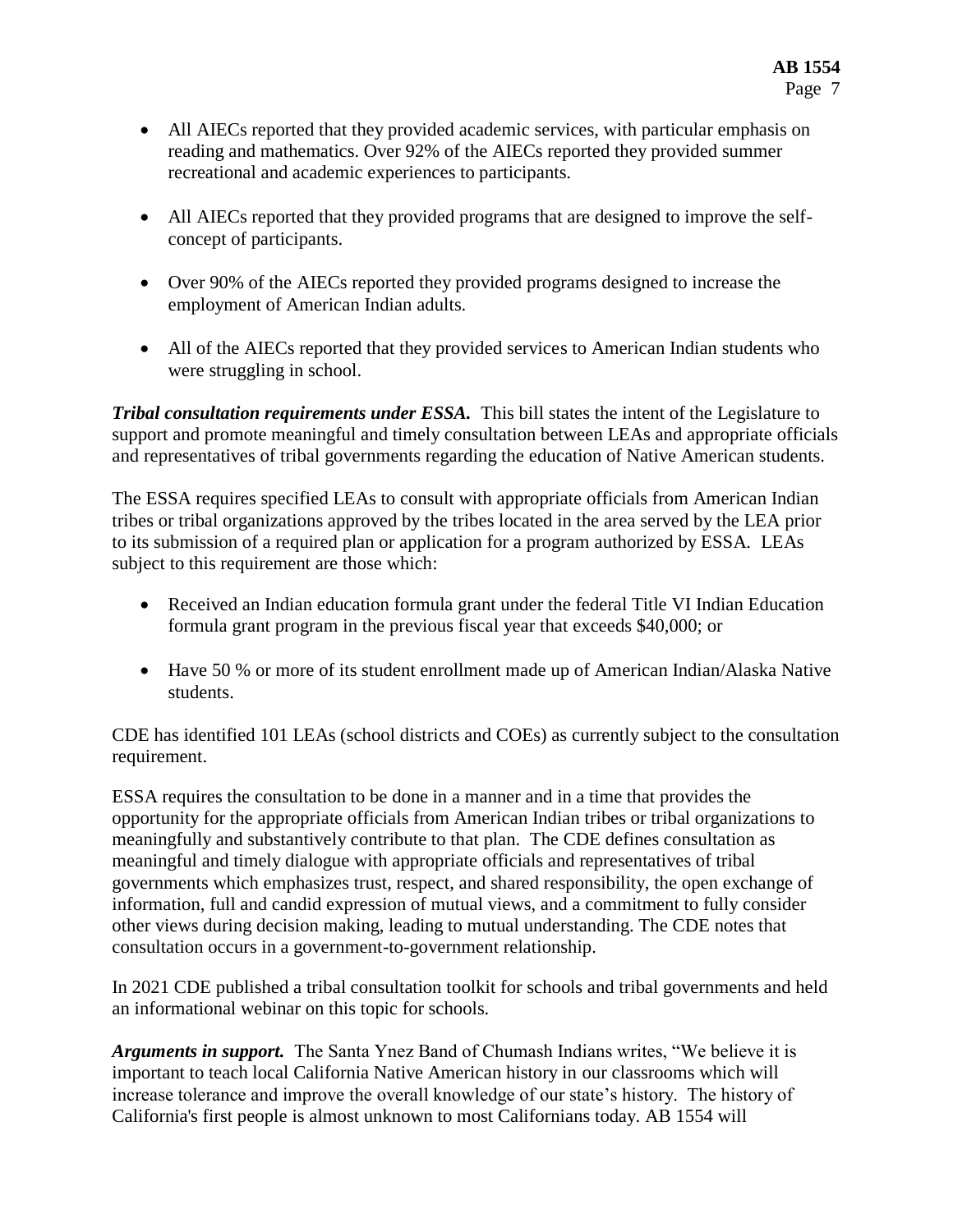- All AIECs reported that they provided academic services, with particular emphasis on reading and mathematics. Over 92% of the AIECs reported they provided summer recreational and academic experiences to participants.
- All AIECs reported that they provided programs that are designed to improve the selfconcept of participants.
- Over 90% of the AIECs reported they provided programs designed to increase the employment of American Indian adults.
- All of the AIECs reported that they provided services to American Indian students who were struggling in school.

*Tribal consultation requirements under ESSA.* This bill states the intent of the Legislature to support and promote meaningful and timely consultation between LEAs and appropriate officials and representatives of tribal governments regarding the education of Native American students.

The ESSA requires specified LEAs to consult with appropriate officials from American Indian tribes or tribal organizations approved by the tribes located in the area served by the LEA prior to its submission of a required plan or application for a program authorized by ESSA. LEAs subject to this requirement are those which:

- Received an Indian education formula grant under the federal Title VI Indian Education formula grant program in the previous fiscal year that exceeds \$40,000; or
- Have 50 % or more of its student enrollment made up of American Indian/Alaska Native students.

CDE has identified 101 LEAs (school districts and COEs) as currently subject to the consultation requirement.

ESSA requires the consultation to be done in a manner and in a time that provides the opportunity for the appropriate officials from American Indian tribes or tribal organizations to meaningfully and substantively contribute to that plan. The CDE defines consultation as meaningful and timely dialogue with appropriate officials and representatives of tribal governments which emphasizes trust, respect, and shared responsibility, the open exchange of information, full and candid expression of mutual views, and a commitment to fully consider other views during decision making, leading to mutual understanding. The CDE notes that consultation occurs in a government-to-government relationship.

In 2021 CDE published a tribal consultation toolkit for schools and tribal governments and held an informational webinar on this topic for schools.

*Arguments in support.* The Santa Ynez Band of Chumash Indians writes, "We believe it is important to teach local California Native American history in our classrooms which will increase tolerance and improve the overall knowledge of our state's history. The history of California's first people is almost unknown to most Californians today. AB 1554 will